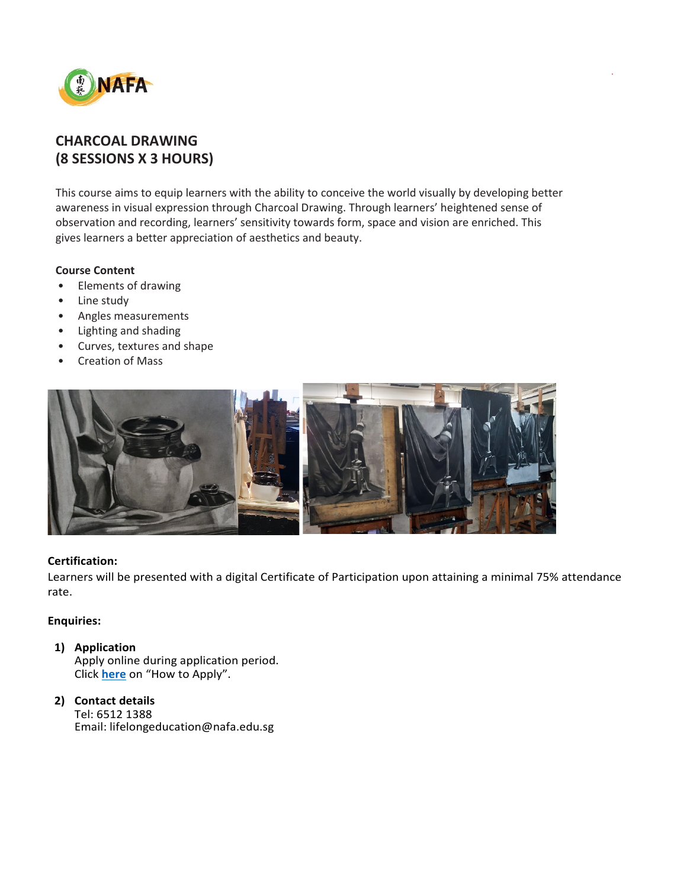

# **CHARCOAL DRAWING (8 SESSIONS X 3 HOURS)**

This course aims to equip learners with the ability to conceive the world visually by developing better awareness in visual expression through Charcoal Drawing. Through learners' heightened sense of observation and recording, learners' sensitivity towards form, space and vision are enriched. This gives learners a better appreciation of aesthetics and beauty.

.

## **Course Content**

- Elements of drawing
- Line study
- Angles measurements
- Lighting and shading
- Curves, textures and shape
- Creation of Mass



## **Certification:**

Learners will be presented with a digital Certificate of Participation upon attaining a minimal 75% attendance rate.

## **Enquiries:**

- **1) Application** Apply online during application period. Click **[here](https://www.nafa.edu.sg/courses/part-time/short-courses#collapseFive)** on "How to Apply".
- **2) Contact details** Tel: 6512 1388 Email: lifelongeducation@nafa.edu.sg